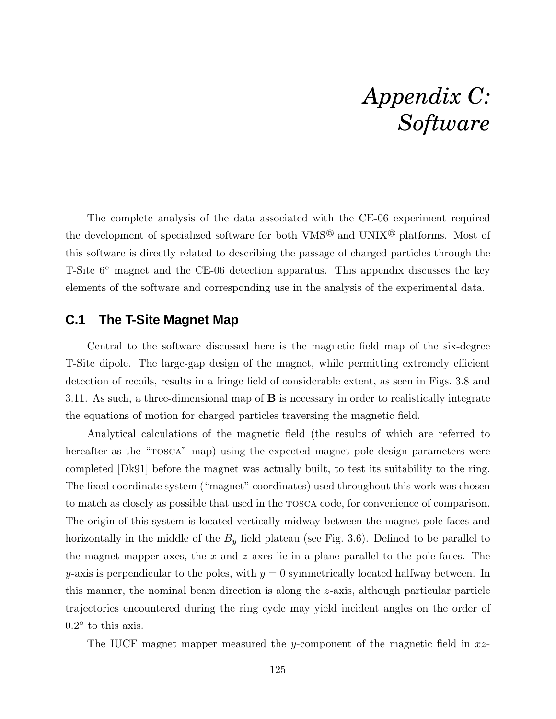# *Appendix C: Software*

The complete analysis of the data associated with the CE-06 experiment required the development of specialized software for both  $VMS^{\circledR}$  and  $UNIX^{\circledR}$  platforms. Most of this software is directly related to describing the passage of charged particles through the T-Site 6◦ magnet and the CE-06 detection apparatus. This appendix discusses the key elements of the software and corresponding use in the analysis of the experimental data.

## **C.1 The T-Site Magnet Map**

Central to the software discussed here is the magnetic field map of the six-degree T-Site dipole. The large-gap design of the magnet, while permitting extremely efficient detection of recoils, results in a fringe field of considerable extent, as seen in Figs. 3.8 and 3.11. As such, a three-dimensional map of B is necessary in order to realistically integrate the equations of motion for charged particles traversing the magnetic field.

Analytical calculations of the magnetic field (the results of which are referred to hereafter as the "TOSCA" map) using the expected magnet pole design parameters were completed [Dk91] before the magnet was actually built, to test its suitability to the ring. The fixed coordinate system ("magnet" coordinates) used throughout this work was chosen to match as closely as possible that used in the tosca code, for convenience of comparison. The origin of this system is located vertically midway between the magnet pole faces and horizontally in the middle of the  $B_y$  field plateau (see Fig. 3.6). Defined to be parallel to the magnet mapper axes, the  $x$  and  $z$  axes lie in a plane parallel to the pole faces. The y-axis is perpendicular to the poles, with  $y = 0$  symmetrically located halfway between. In this manner, the nominal beam direction is along the z-axis, although particular particle trajectories encountered during the ring cycle may yield incident angles on the order of  $0.2^{\circ}$  to this axis.

The IUCF magnet mapper measured the y-component of the magnetic field in  $xz$ -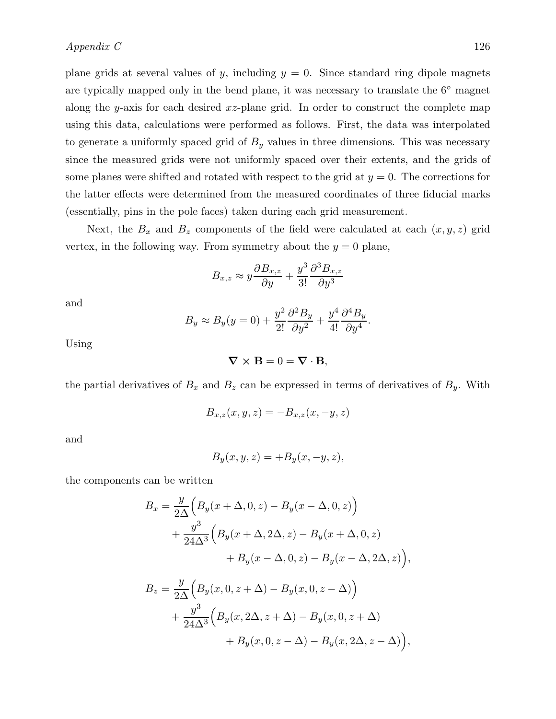plane grids at several values of y, including  $y = 0$ . Since standard ring dipole magnets are typically mapped only in the bend plane, it was necessary to translate the 6◦ magnet along the y-axis for each desired  $xz$ -plane grid. In order to construct the complete map using this data, calculations were performed as follows. First, the data was interpolated to generate a uniformly spaced grid of  $B<sub>y</sub>$  values in three dimensions. This was necessary since the measured grids were not uniformly spaced over their extents, and the grids of some planes were shifted and rotated with respect to the grid at  $y = 0$ . The corrections for the latter effects were determined from the measured coordinates of three fiducial marks (essentially, pins in the pole faces) taken during each grid measurement.

Next, the  $B_x$  and  $B_z$  components of the field were calculated at each  $(x, y, z)$  grid vertex, in the following way. From symmetry about the  $y = 0$  plane,

$$
B_{x,z} \approx y \frac{\partial B_{x,z}}{\partial y} + \frac{y^3}{3!} \frac{\partial^3 B_{x,z}}{\partial y^3}
$$

and

$$
B_y \approx B_y(y=0) + \frac{y^2}{2!} \frac{\partial^2 B_y}{\partial y^2} + \frac{y^4}{4!} \frac{\partial^4 B_y}{\partial y^4}
$$

.

Using

$$
\nabla \times \mathbf{B} = 0 = \nabla \cdot \mathbf{B},
$$

the partial derivatives of  $B_x$  and  $B_z$  can be expressed in terms of derivatives of  $B_y$ . With

$$
B_{x,z}(x, y, z) = -B_{x,z}(x, -y, z)
$$

and

$$
B_y(x, y, z) = +B_y(x, -y, z),
$$

the components can be written

$$
B_x = \frac{y}{2\Delta} \Big( B_y(x + \Delta, 0, z) - B_y(x - \Delta, 0, z) \Big)
$$
  
+ 
$$
\frac{y^3}{24\Delta^3} \Big( B_y(x + \Delta, 2\Delta, z) - B_y(x + \Delta, 0, z) + B_y(x - \Delta, 0, z) - B_y(x - \Delta, 2\Delta, z) \Big),
$$
  

$$
B_z = \frac{y}{2\Delta} \Big( B_y(x, 0, z + \Delta) - B_y(x, 0, z - \Delta) \Big)
$$
  
+ 
$$
\frac{y^3}{24\Delta^3} \Big( B_y(x, 2\Delta, z + \Delta) - B_y(x, 0, z + \Delta)
$$

 $+ B_y(x, 0, z - \Delta) - B_y(x, 2\Delta, z - \Delta) \Big),$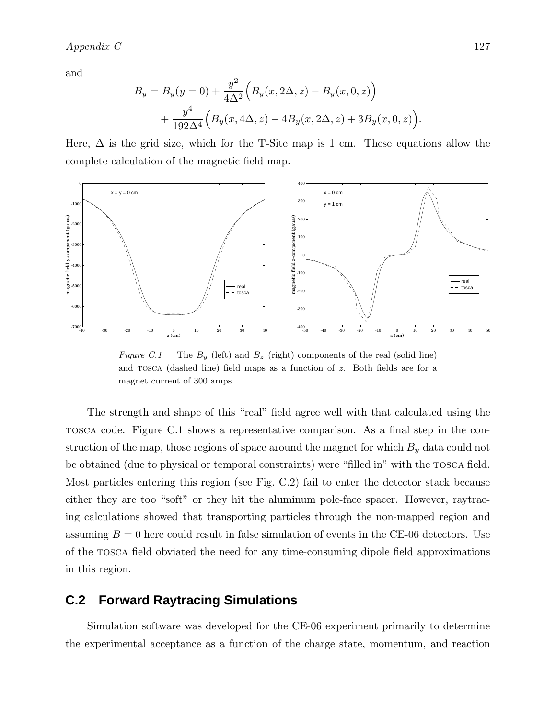#### *Appendix C* 127

and

$$
B_y = B_y(y=0) + \frac{y^2}{4\Delta^2} \Big( B_y(x, 2\Delta, z) - B_y(x, 0, z) \Big) + \frac{y^4}{192\Delta^4} \Big( B_y(x, 4\Delta, z) - 4B_y(x, 2\Delta, z) + 3B_y(x, 0, z) \Big)
$$

Here,  $\Delta$  is the grid size, which for the T-Site map is 1 cm. These equations allow the complete calculation of the magnetic field map.



Figure C.1 The  $B_y$  (left) and  $B_z$  (right) components of the real (solid line) and tosca (dashed line) field maps as a function of z. Both fields are for a magnet current of 300 amps.

The strength and shape of this "real" field agree well with that calculated using the tosca code. Figure C.1 shows a representative comparison. As a final step in the construction of the map, those regions of space around the magnet for which  $B_y$  data could not be obtained (due to physical or temporal constraints) were "filled in" with the tosca field. Most particles entering this region (see Fig. C.2) fail to enter the detector stack because either they are too "soft" or they hit the aluminum pole-face spacer. However, raytracing calculations showed that transporting particles through the non-mapped region and assuming  $B = 0$  here could result in false simulation of events in the CE-06 detectors. Use of the tosca field obviated the need for any time-consuming dipole field approximations in this region.

## **C.2 Forward Raytracing Simulations**

Simulation software was developed for the CE-06 experiment primarily to determine the experimental acceptance as a function of the charge state, momentum, and reaction

.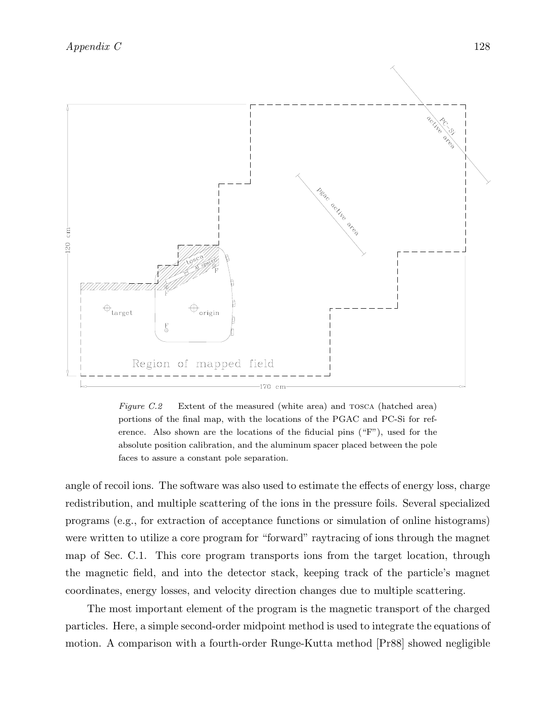*Appendix C* 128



Figure C.2 Extent of the measured (white area) and TOSCA (hatched area) portions of the final map, with the locations of the PGAC and PC-Si for reference. Also shown are the locations of the fiducial pins ("F"), used for the absolute position calibration, and the aluminum spacer placed between the pole faces to assure a constant pole separation.

angle of recoil ions. The software was also used to estimate the effects of energy loss, charge redistribution, and multiple scattering of the ions in the pressure foils. Several specialized programs (e.g., for extraction of acceptance functions or simulation of online histograms) were written to utilize a core program for "forward" raytracing of ions through the magnet map of Sec. C.1. This core program transports ions from the target location, through the magnetic field, and into the detector stack, keeping track of the particle's magnet coordinates, energy losses, and velocity direction changes due to multiple scattering.

The most important element of the program is the magnetic transport of the charged particles. Here, a simple second-order midpoint method is used to integrate the equations of motion. A comparison with a fourth-order Runge-Kutta method [Pr88] showed negligible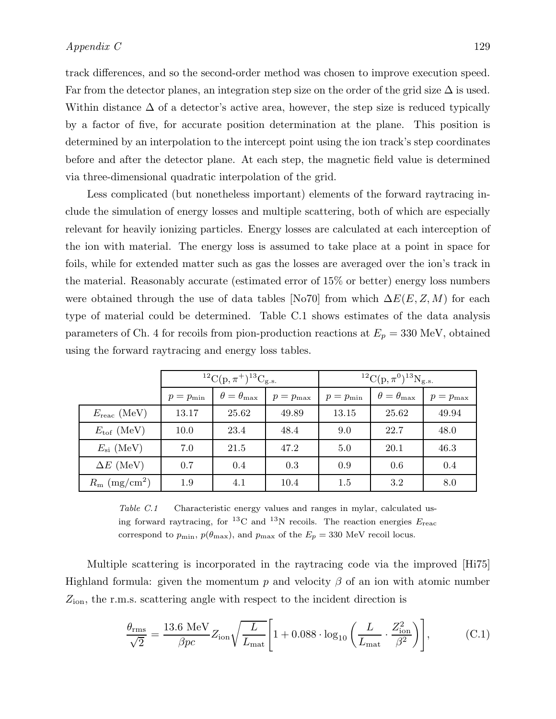track differences, and so the second-order method was chosen to improve execution speed. Far from the detector planes, an integration step size on the order of the grid size  $\Delta$  is used. Within distance  $\Delta$  of a detector's active area, however, the step size is reduced typically by a factor of five, for accurate position determination at the plane. This position is determined by an interpolation to the intercept point using the ion track's step coordinates before and after the detector plane. At each step, the magnetic field value is determined via three-dimensional quadratic interpolation of the grid.

Less complicated (but nonetheless important) elements of the forward raytracing include the simulation of energy losses and multiple scattering, both of which are especially relevant for heavily ionizing particles. Energy losses are calculated at each interception of the ion with material. The energy loss is assumed to take place at a point in space for foils, while for extended matter such as gas the losses are averaged over the ion's track in the material. Reasonably accurate (estimated error of 15% or better) energy loss numbers were obtained through the use of data tables [No70] from which  $\Delta E(E, Z, M)$  for each type of material could be determined. Table C.1 shows estimates of the data analysis parameters of Ch. 4 for recoils from pion-production reactions at  $E_p = 330$  MeV, obtained using the forward raytracing and energy loss tables.

|                                   | ${}^{12}C(p, \pi^+){}^{13}C_{g.s.}$ |                             |                    | ${}^{12}C(p,\pi^0){}^{13}N_{g.s.}$ |                             |              |
|-----------------------------------|-------------------------------------|-----------------------------|--------------------|------------------------------------|-----------------------------|--------------|
|                                   | $p=p_{\min}$                        | $\theta = \theta_{\rm max}$ | $p=p_{\text{max}}$ | $p=p_{\min}$                       | $\theta = \theta_{\rm max}$ | $p=p_{\max}$ |
| $E_{\text{reac}}$ (MeV)           | 13.17                               | 25.62                       | 49.89              | 13.15                              | 25.62                       | 49.94        |
| $E_{\rm tof}$ (MeV)               | 10.0                                | 23.4                        | 48.4               | 9.0                                | 22.7                        | 48.0         |
| $E_{\rm si}$ (MeV)                | 7.0                                 | 21.5                        | 47.2               | 5.0                                | 20.1                        | 46.3         |
| $\Delta E$ (MeV)                  | 0.7                                 | 0.4                         | 0.3                | 0.9                                | 0.6                         | 0.4          |
| $R_{\rm m}$ (mg/cm <sup>2</sup> ) | 1.9                                 | 4.1                         | 10.4               | 1.5                                | 3.2                         | 8.0          |

Table C.1 Characteristic energy values and ranges in mylar, calculated using forward raytracing, for <sup>13</sup>C and <sup>13</sup>N recoils. The reaction energies  $E_{\text{reac}}$ correspond to  $p_{\min}$ ,  $p(\theta_{\max})$ , and  $p_{\max}$  of the  $E_p = 330$  MeV recoil locus.

Multiple scattering is incorporated in the raytracing code via the improved [Hi75] Highland formula: given the momentum p and velocity  $\beta$  of an ion with atomic number  $Z_{\text{ion}}$ , the r.m.s. scattering angle with respect to the incident direction is

$$
\frac{\theta_{\rm rms}}{\sqrt{2}} = \frac{13.6 \text{ MeV}}{\beta pc} Z_{\rm ion} \sqrt{\frac{L}{L_{\rm mat}}} \left[ 1 + 0.088 \cdot \log_{10} \left( \frac{L}{L_{\rm mat}} \cdot \frac{Z_{\rm ion}^2}{\beta^2} \right) \right],\tag{C.1}
$$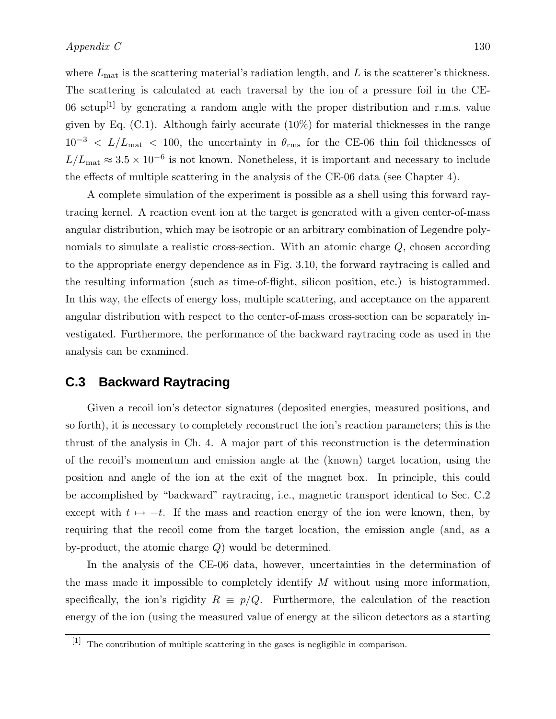where  $L_{\text{mat}}$  is the scattering material's radiation length, and L is the scatterer's thickness. The scattering is calculated at each traversal by the ion of a pressure foil in the CE-06 setup<sup>[1]</sup> by generating a random angle with the proper distribution and r.m.s. value given by Eq. (C.1). Although fairly accurate (10%) for material thicknesses in the range  $10^{-3}$  <  $L/L_{\text{mat}}$  < 100, the uncertainty in  $\theta_{\text{rms}}$  for the CE-06 thin foil thicknesses of  $L/L_{\text{mat}} \approx 3.5 \times 10^{-6}$  is not known. Nonetheless, it is important and necessary to include the effects of multiple scattering in the analysis of the CE-06 data (see Chapter 4).

A complete simulation of the experiment is possible as a shell using this forward raytracing kernel. A reaction event ion at the target is generated with a given center-of-mass angular distribution, which may be isotropic or an arbitrary combination of Legendre polynomials to simulate a realistic cross-section. With an atomic charge Q, chosen according to the appropriate energy dependence as in Fig. 3.10, the forward raytracing is called and the resulting information (such as time-of-flight, silicon position, etc.) is histogrammed. In this way, the effects of energy loss, multiple scattering, and acceptance on the apparent angular distribution with respect to the center-of-mass cross-section can be separately investigated. Furthermore, the performance of the backward raytracing code as used in the analysis can be examined.

### **C.3 Backward Raytracing**

Given a recoil ion's detector signatures (deposited energies, measured positions, and so forth), it is necessary to completely reconstruct the ion's reaction parameters; this is the thrust of the analysis in Ch. 4. A major part of this reconstruction is the determination of the recoil's momentum and emission angle at the (known) target location, using the position and angle of the ion at the exit of the magnet box. In principle, this could be accomplished by "backward" raytracing, i.e., magnetic transport identical to Sec. C.2 except with  $t \mapsto -t$ . If the mass and reaction energy of the ion were known, then, by requiring that the recoil come from the target location, the emission angle (and, as a by-product, the atomic charge Q) would be determined.

In the analysis of the CE-06 data, however, uncertainties in the determination of the mass made it impossible to completely identify M without using more information, specifically, the ion's rigidity  $R \equiv p/Q$ . Furthermore, the calculation of the reaction energy of the ion (using the measured value of energy at the silicon detectors as a starting

<sup>[1]</sup> The contribution of multiple scattering in the gases is negligible in comparison.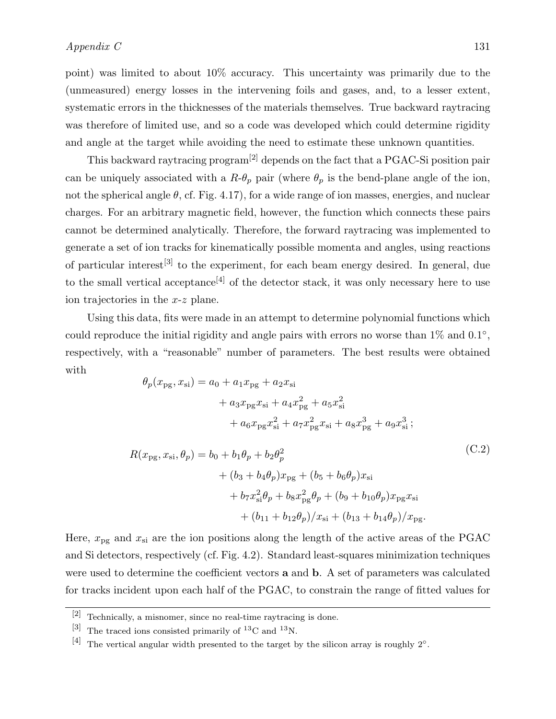point) was limited to about 10% accuracy. This uncertainty was primarily due to the (unmeasured) energy losses in the intervening foils and gases, and, to a lesser extent, systematic errors in the thicknesses of the materials themselves. True backward raytracing was therefore of limited use, and so a code was developed which could determine rigidity and angle at the target while avoiding the need to estimate these unknown quantities.

This backward raytracing program[2] depends on the fact that a PGAC-Si position pair can be uniquely associated with a  $R-\theta_p$  pair (where  $\theta_p$  is the bend-plane angle of the ion, not the spherical angle  $\theta$ , cf. Fig. 4.17), for a wide range of ion masses, energies, and nuclear charges. For an arbitrary magnetic field, however, the function which connects these pairs cannot be determined analytically. Therefore, the forward raytracing was implemented to generate a set of ion tracks for kinematically possible momenta and angles, using reactions of particular interest[3] to the experiment, for each beam energy desired. In general, due to the small vertical acceptance<sup>[4]</sup> of the detector stack, it was only necessary here to use ion trajectories in the x-z plane.

Using this data, fits were made in an attempt to determine polynomial functions which could reproduce the initial rigidity and angle pairs with errors no worse than  $1\%$  and  $0.1^{\circ}$ , respectively, with a "reasonable" number of parameters. The best results were obtained with

$$
\theta_p(x_{pg}, x_{si}) = a_0 + a_1 x_{pg} + a_2 x_{si}
$$
  
+  $a_3 x_{pg} x_{si} + a_4 x_{pg}^2 + a_5 x_{si}^2$   
+  $a_6 x_{pg} x_{si}^2 + a_7 x_{pg}^2 x_{si} + a_8 x_{pg}^3 + a_9 x_{si}^3$ ;  

$$
R(x_{pg}, x_{si}, \theta_p) = b_0 + b_1 \theta_p + b_2 \theta_p^2
$$
  
+  $(b_3 + b_4 \theta_p) x_{pg} + (b_5 + b_6 \theta_p) x_{si}$   
+  $b_7 x_{si}^2 \theta_p + b_8 x_{pg}^2 \theta_p + (b_9 + b_{10} \theta_p) x_{pg} x_{si}$   
+  $(b_{11} + b_{12} \theta_p) / x_{si} + (b_{13} + b_{14} \theta_p) / x_{pg}$ . (C.2)

Here,  $x_{pg}$  and  $x_{si}$  are the ion positions along the length of the active areas of the PGAC and Si detectors, respectively (cf. Fig. 4.2). Standard least-squares minimization techniques were used to determine the coefficient vectors a and b. A set of parameters was calculated for tracks incident upon each half of the PGAC, to constrain the range of fitted values for

<sup>[2]</sup> Technically, a misnomer, since no real-time raytracing is done.

<sup>[3]</sup> The traced ions consisted primarily of  ${}^{13}$ C and  ${}^{13}$ N.

<sup>[4]</sup> The vertical angular width presented to the target by the silicon array is roughly  $2°$ .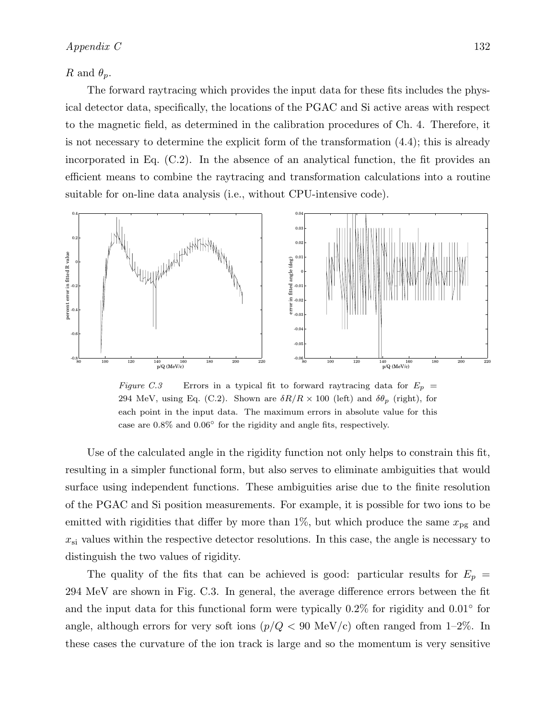#### R and  $\theta_p$ .

The forward raytracing which provides the input data for these fits includes the physical detector data, specifically, the locations of the PGAC and Si active areas with respect to the magnetic field, as determined in the calibration procedures of Ch. 4. Therefore, it is not necessary to determine the explicit form of the transformation (4.4); this is already incorporated in Eq. (C.2). In the absence of an analytical function, the fit provides an efficient means to combine the raytracing and transformation calculations into a routine suitable for on-line data analysis (i.e., without CPU-intensive code).



Figure C.3 Errors in a typical fit to forward raytracing data for  $E_p =$ 294 MeV, using Eq. (C.2). Shown are  $\delta R/R \times 100$  (left) and  $\delta \theta_p$  (right), for each point in the input data. The maximum errors in absolute value for this case are 0.8% and 0.06◦ for the rigidity and angle fits, respectively.

Use of the calculated angle in the rigidity function not only helps to constrain this fit, resulting in a simpler functional form, but also serves to eliminate ambiguities that would surface using independent functions. These ambiguities arise due to the finite resolution of the PGAC and Si position measurements. For example, it is possible for two ions to be emitted with rigidities that differ by more than 1%, but which produce the same  $x_{pg}$  and  $x_{si}$  values within the respective detector resolutions. In this case, the angle is necessary to distinguish the two values of rigidity.

The quality of the fits that can be achieved is good: particular results for  $E_p =$ 294 MeV are shown in Fig. C.3. In general, the average difference errors between the fit and the input data for this functional form were typically  $0.2\%$  for rigidity and  $0.01\textdegree$  for angle, although errors for very soft ions  $(p/Q < 90 \text{ MeV/c})$  often ranged from 1-2%. In these cases the curvature of the ion track is large and so the momentum is very sensitive